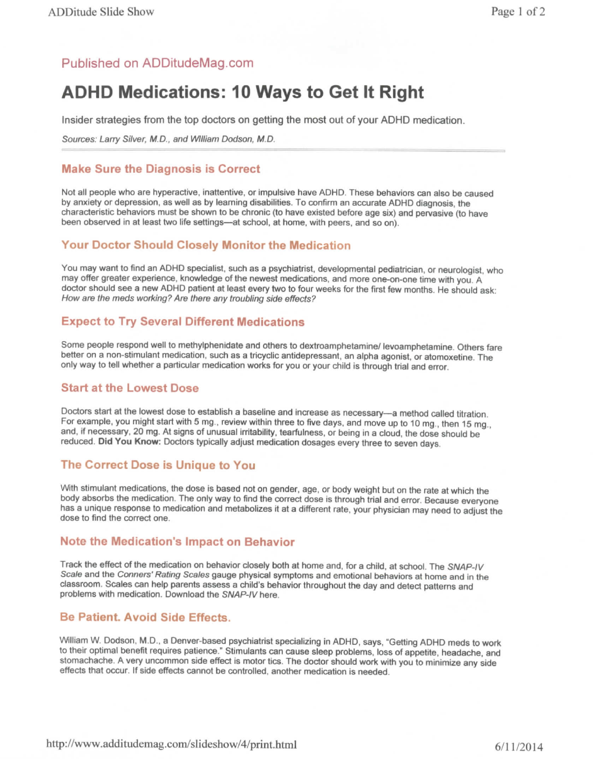### Published on ADDitudeMag.com

# **ADHD Medications: 10 Ways to Get it Right**

Insider strategies from the top doctors on getting the most out of your ADHD medication.

Sources: Larry Silver, M.D., and William Dodson, M.D.

#### **Make Sure the Diagnosis is Correct**

Not all people who are hyperactive, inattentive, or impulsive have ADHD. These behaviors can also be caused by anxiety or depression, as well as by learning disabilities. To confirm an accurate ADHD diagnosis, the characteristic behaviors must be shown to be chronic (to have existed before age six) and pervasive (to have been observed in at least two life settings—at school, at home, with peers, and so on).

#### **Your Doctor Should Closely Monitor the Medication**

You may want to find an ADHD specialist, such as a psychiatrist, developmental pediatrician, or neurologist, who may offer greater experience, knowledge of the newest medications, and more one-on-one time with you. A doctor should see a new ADHD patient at least every two to four weeks for the first few months. He should ask: How are the meds working? Are there any troubling side effects?

#### **Expect to Try Several Different Medications**

Some people respond well to methylphenidate and others to dextroamphetamine/ levoamphetamine. Others fare better on a non-stimulant medication, such as a tricyclic antidepressant, an alpha agonist, or atomoxetine. The only way to tell whether a particular medication works for you or your child is through trial and error.

#### **Start at the Lowest Dose**

Doctors start at the lowest dose to establish a baseline and increase as necessary—a method called titration. For example, you might start with 5 mg., review within three to five days, and move up to 10 mg., then 15 mg., and, if necessary, 20 mg. At signs of unusual irritability, tearfulness, or being in a cloud, the dose should be reduced. Did You Know: Doctors typically adjust medication dosages every three to seven days.

#### **The Correct Dose is Unique to You**

With stimulant medications, the dose is based not on gender, age, or body weight but on the rate at which the body absorbs the medication. The only way to find the correct dose is through trial and error. Because everyone has a unique response to medication and metabolizes it at a different rate, your physician may need to adjust the dose to find the correct one.

#### **Note the Medication's Impact on Behavior**

Track the effect of the medication on behavior closely both at home and, for a child, at school. The SNAP-IV Scale and the Conners' Rating Scales gauge physical symptoms and emotional behaviors at home and in the classroom. Scales can help parents assess a child's behavior throughout the day and detect patterns and problems with medication. Download the SNAP-IV here.

#### **Be Patient. Avoid Side Effects.**

William W. Dodson, M.D., a Denver-based psychiatrist specializing in ADHD, says, "Getting ADHD meds to work to their optimal benefit requires patience." Stimulants can cause sleep problems, toss of appetite, headache, and stomachache. A very uncommon side effect is motor tics. The doctor should work with you to minimize any side effects that occur. If side effects cannot be controlled, another medication is needed.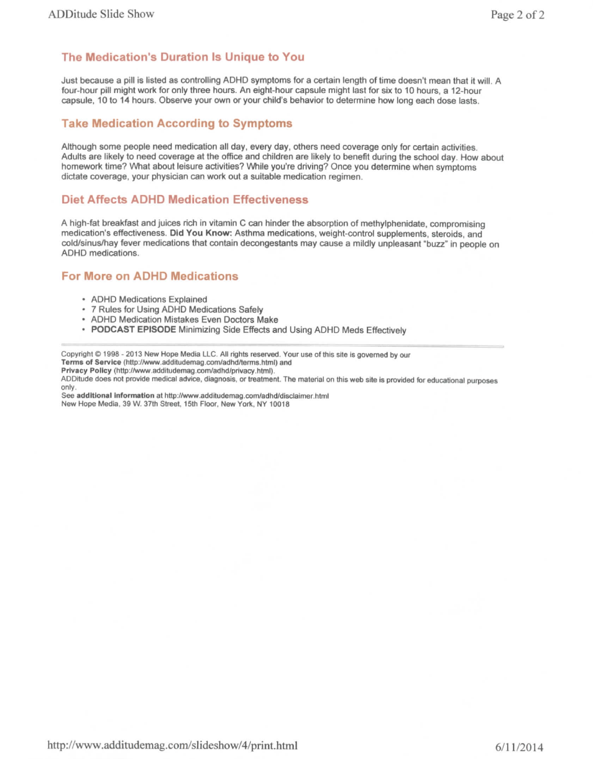#### **The Medication's Duration Is Unique to You**

Just because a pill is listed as controlling ADHD symptoms for a certain length of time doesn't mean that it will. A four-hour pill might work for only three hours. An eight-hour capsule might last for six to 10 hours, a 12-hour capsule, 10 to 14 hours. Observe your own or your child's behavior to determine how long each dose lasts.

#### **Take Medication According to Symptoms**

Although some people need medication all day, every day, others need coverage only for certain activities. Adults are likely to need coverage at the office and children are likely to benefit during the school day. How about homework time? What about leisure activities? While you're driving? Once you determine when symptoms dictate coverage, your physician can work out a suitable medication regimen.

#### **Diet Affects ADHD Medication Effectiveness**

A high-fat breakfast and juices rich in vitamin C can hinder the absorption of methylphenidate, compromising medication's effectiveness. Did You Know: Asthma medications, weight-control supplements, steroids, and cold/sinus/hay fever medications that contain decongestants may cause a mildly unpleasant "buzz" in people on ADHD medications.

#### **For More on ADHD Medications**

- ADHD Medications Explained
- 7 Rules for Using ADHD Medications Safely
- ADHD Medication Mistakes Even Doctors Make
- PODCAST EPISODE Minimizing Side Effects and Using ADHD Meds Effectively

Copyright © 1998 - 2013 New Hope Media LLC. All rights reserved. Your use of this site is governed by our Terms of Service (http://www.addrtudemag.com/adhd/terms.html) and

Privacy Policy (http://www.additudemag.com/adhd/privacy.html).

ADDitude does not provide medical advice, diagnosis, or treatment. The material on this web site is provided for educational purposes only.

See **additional information** at http://www.additudemag.com/adhd/disclaimer.html New Hope Media, 39 W. 37th Street, 15th Floor, New York. NY 10018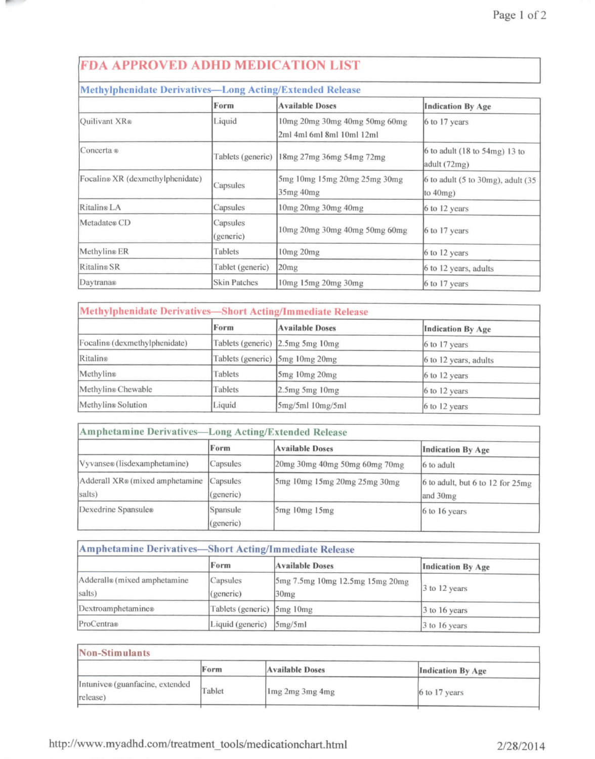## FDA APPROVED ADHD MEDICATION LIST

#### Methylphenidate Derivatives — Long Acting/Extended Release Quilivant XR® Concerta ® Focalin® XR (dexmcthylphenidate) Ritalin® LA Metadate® CD Methylin®ER Ritalin®SR Daytrana® Form Liquid Tablets (generic) Capsules Capsules Capsules (generic) Tablets Tablet (generic) Skin Patches Available Doses lOmg 20mg 30mg 40mg 50mg 60mg 2ml 4ml 6ml 8ml 10ml 12ml 18mg 27mg 36mg 54mg 72mg 5mg lOmg I5mg 20mg 25mg 30mg 35mg 40mg lOmg 20mg 30mg 40mg lOmg 20mg 30mg 40mg 50mg 60mg lOmg 20mg 20mg lOmg 15mg20mg30mg Indication By Age 6 to 17 years 6 to adult (18 to 54mg) 13 to adult (72mg) 6 to adult (5 to 30mg), adult (35 to 40mg) 6 to 12 years 6 to 17 years 6 to 12 years 6 to 12 years, adults 6 to 17 years

| <b>Methylphenidate Derivatives-Short Acting/Immediate Release</b> |         |                                  |                          |
|-------------------------------------------------------------------|---------|----------------------------------|--------------------------|
|                                                                   | Form    | <b>Available Doses</b>           | <b>Indication By Age</b> |
| Focalin® (dexmethylphenidate)                                     |         | Tablets (generic) 2.5mg 5mg 10mg | $6$ to 17 years          |
| Ritalin®                                                          |         | Tablets (generic) 5mg 10mg 20mg  | 6 to 12 years, adults    |
| Methylin®                                                         | Tablets | $5mg$ 10mg 20mg                  | 6 to 12 years            |
| Methylin® Chewable                                                | Tablets | $2.5mg$ 5mg 10mg                 | $6$ to 12 years          |
| Methylin <sup>®</sup> Solution                                    | Liquid  | 5mg/5ml 10mg/5ml                 | 6 to 12 years            |

| Amphetamine Derivatives-Long Acting/Extended Release |                                 |                               |                                              |
|------------------------------------------------------|---------------------------------|-------------------------------|----------------------------------------------|
|                                                      | Form                            | <b>Available Doses</b>        | <b>Indication By Age</b>                     |
| Vyvanse® (lisdexamphetamine)                         | Capsules                        | 20mg 30mg 40mg 50mg 60mg 70mg | 6 to adult                                   |
| Adderall XR® (mixed amphetamine<br>salts)            | <i>Capsules</i><br>(generic)    | 5mg 10mg 15mg 20mg 25mg 30mg  | 6 to adult, but 6 to 12 for 25mg<br>and 30mg |
| Dexedrine Spansule®                                  | Spansule<br>$(g\text{generic})$ | 5mg 10mg 15mg                 | $6$ to 16 years                              |

| <b>Amphetamine Derivatives-Short Acting/Immediate Release</b> |                            |                                         |                          |
|---------------------------------------------------------------|----------------------------|-----------------------------------------|--------------------------|
|                                                               | Form                       | <b>Available Doses</b>                  | <b>Indication By Age</b> |
| Adderall® (mixed amphetamine<br>salts)                        | Capsules<br>(generic)      | 5mg 7.5mg 10mg 12.5mg 15mg 20mg<br>30mg | 3 to 12 years            |
| Dextroamphetamine®                                            | Tablets (generic) 5mg 10mg |                                         | $3$ to 16 years          |
| ProCentra®                                                    | Liquid (generic)           | 5mg/5ml                                 | 3 to 16 years            |

| Non-Stimulants                               |        |                        |                          |
|----------------------------------------------|--------|------------------------|--------------------------|
|                                              | Form   | <b>Available Doses</b> | <b>Indication By Age</b> |
| Intunive® (guanfacine, extended<br>(release) | Tablet | 1 mg 2 mg 3 mg 4 mg    | $6$ to 17 years          |